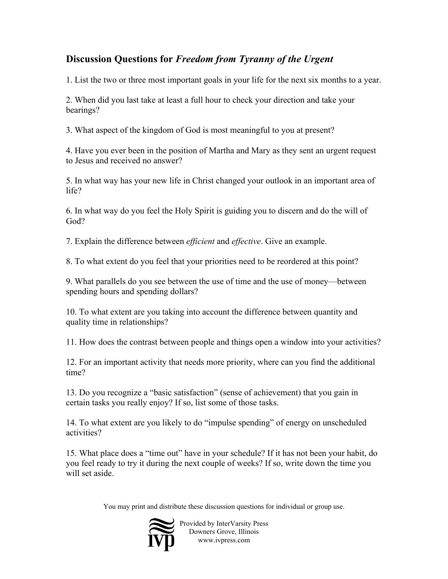## **Discussion Questions for** *Freedom from Tyranny of the Urgent*

1. List the two or three most important goals in your life for the next six months to a year.

2. When did you last take at least a full hour to check your direction and take your bearings?

3. What aspect of the kingdom of God is most meaningful to you at present?

4. Have you ever been in the position of Martha and Mary as they sent an urgent request to Jesus and received no answer?

5. In what way has your new life in Christ changed your outlook in an important area of life?

6. In what way do you feel the Holy Spirit is guiding you to discern and do the will of God?

7. Explain the difference between *efficient* and *effective*. Give an example.

8. To what extent do you feel that your priorities need to be reordered at this point?

9. What parallels do you see between the use of time and the use of money—between spending hours and spending dollars?

10. To what extent are you taking into account the difference between quantity and quality time in relationships?

11. How does the contrast between people and things open a window into your activities?

12. For an important activity that needs more priority, where can you find the additional time?

13. Do you recognize a "basic satisfaction" (sense of achievement) that you gain in certain tasks you really enjoy? If so, list some of those tasks.

14. To what extent are you likely to do "impulse spending" of energy on unscheduled activities?

15. What place does a "time out" have in your schedule? If it has not been your habit, do you feel ready to try it during the next couple of weeks? If so, write down the time you will set aside

You may print and distribute these discussion questions for individual or group use.



Provided by InterVarsity Press Downers Grove, Illinois www.ivpress.com